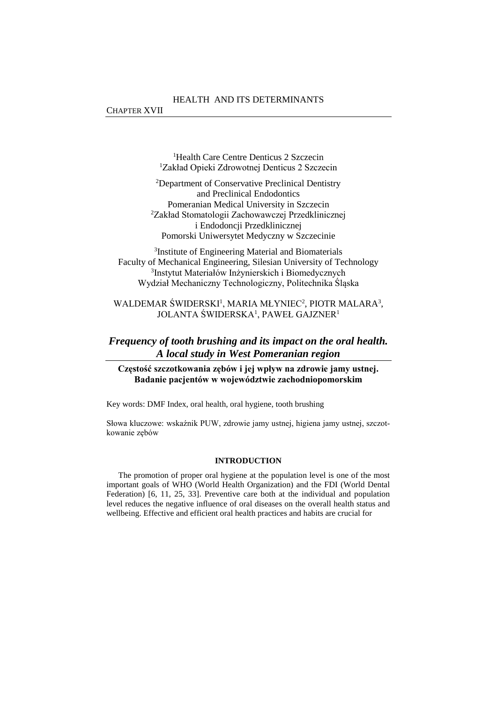<sup>1</sup>Health Care Centre Denticus 2 Szczecin <sup>1</sup>Zakład Opieki Zdrowotnej Denticus 2 Szczecin

<sup>2</sup>Department of Conservative Preclinical Dentistry and Preclinical Endodontics Pomeranian Medical University in Szczecin <sup>2</sup>Zakład Stomatologii Zachowawczej Przedklinicznej i Endodoncji Przedklinicznej Pomorski Uniwersytet Medyczny w Szczecinie

3 Institute of Engineering Material and Biomaterials Faculty of Mechanical Engineering, Silesian University of Technology 3 Instytut Materiałów Inżynierskich i Biomedycznych Wydział Mechaniczny Technologiczny, Politechnika Śląska

# WALDEMAR ŚWIDERSKI<sup>1</sup>, MARIA MŁYNIEC<sup>2</sup>, PIOTR MALARA<sup>3</sup>, JOLANTA ŚWIDERSKA<sup>1</sup>, PAWEŁ GAJZNER<sup>1</sup>

# *Frequency of tooth brushing and its impact on the oral health. A local study in West Pomeranian region*

# **Częstość szczotkowania zębów i jej wpływ na zdrowie jamy ustnej. Badanie pacjentów w województwie zachodniopomorskim**

Key words: DMF Index, oral health, oral hygiene, tooth brushing

Słowa kluczowe: wskaźnik PUW, zdrowie jamy ustnej, higiena jamy ustnej, szczotkowanie zębów

#### **INTRODUCTION**

The promotion of proper oral hygiene at the population level is one of the most important goals of WHO (World Health Organization) and the FDI (World Dental Federation) [6, 11, 25, 33]. Preventive care both at the individual and population level reduces the negative influence of oral diseases on the overall health status and wellbeing. Effective and efficient oral health practices and habits are crucial for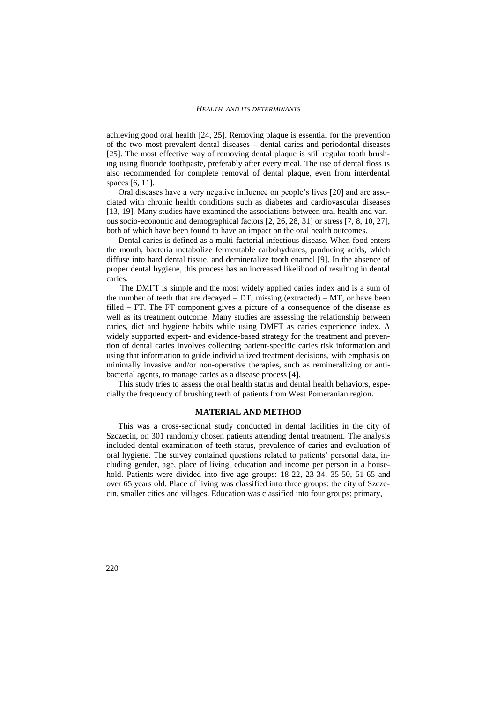achieving good oral health [24, 25]. Removing plaque is essential for the prevention of the two most prevalent dental diseases – dental caries and periodontal diseases [25]. The most effective way of removing dental plaque is still regular tooth brushing using fluoride toothpaste, preferably after every meal. The use of dental floss is also recommended for complete removal of dental plaque, even from interdental spaces [6, 11].

Oral diseases have a very negative influence on people's lives [20] and are associated with chronic health conditions such as diabetes and cardiovascular diseases [13, 19]. Many studies have examined the associations between oral health and various socio-economic and demographical factors [2, 26, 28, 31] or stress [7, 8, 10, 27], both of which have been found to have an impact on the oral health outcomes.

Dental caries is defined as a multi-factorial infectious disease. When food enters the mouth, bacteria metabolize fermentable carbohydrates, producing acids, which diffuse into hard dental tissue, and demineralize tooth enamel [9]. In the absence of proper dental hygiene, this process has an increased likelihood of resulting in dental caries.

The DMFT is simple and the most widely applied caries index and is a sum of the number of teeth that are decayed  $-DT$ , missing (extracted)  $- MT$ , or have been filled – FT. The FT component gives a picture of a consequence of the disease as well as its treatment outcome. Many studies are assessing the relationship between caries, diet and hygiene habits while using DMFT as caries experience index. A widely supported expert- and evidence-based strategy for the treatment and prevention of dental caries involves collecting patient-specific caries risk information and using that information to guide individualized treatment decisions, with emphasis on minimally invasive and/or non-operative therapies, such as remineralizing or antibacterial agents, to manage caries as a disease process [4].

This study tries to assess the oral health status and dental health behaviors, especially the frequency of brushing teeth of patients from West Pomeranian region.

#### **MATERIAL AND METHOD**

This was a cross-sectional study conducted in dental facilities in the city of Szczecin, on 301 randomly chosen patients attending dental treatment. The analysis included dental examination of teeth status, prevalence of caries and evaluation of oral hygiene. The survey contained questions related to patients' personal data, including gender, age, place of living, education and income per person in a household. Patients were divided into five age groups: 18-22, 23-34, 35-50, 51-65 and over 65 years old. Place of living was classified into three groups: the city of Szczecin, smaller cities and villages. Education was classified into four groups: primary,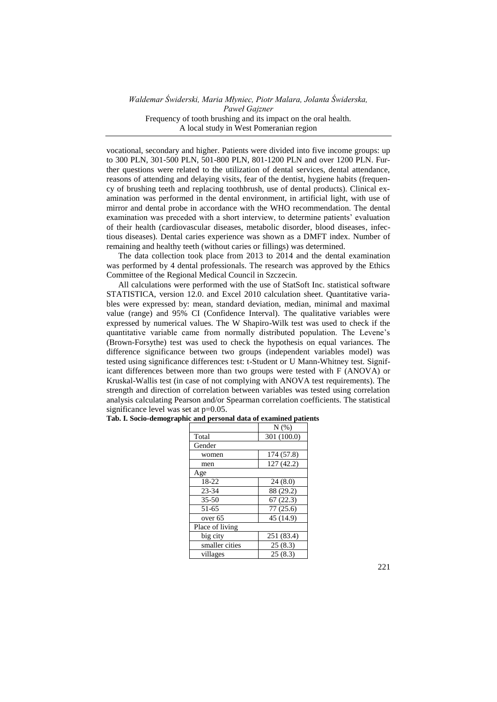vocational, secondary and higher. Patients were divided into five income groups: up to 300 PLN, 301-500 PLN, 501-800 PLN, 801-1200 PLN and over 1200 PLN. Further questions were related to the utilization of dental services, dental attendance, reasons of attending and delaying visits, fear of the dentist, hygiene habits (frequency of brushing teeth and replacing toothbrush, use of dental products). Clinical examination was performed in the dental environment, in artificial light, with use of mirror and dental probe in accordance with the WHO recommendation. The dental examination was preceded with a short interview, to determine patients' evaluation of their health (cardiovascular diseases, metabolic disorder, blood diseases, infectious diseases). Dental caries experience was shown as a DMFT index. Number of remaining and healthy teeth (without caries or fillings) was determined.

The data collection took place from 2013 to 2014 and the dental examination was performed by 4 dental professionals. The research was approved by the Ethics Committee of the Regional Medical Council in Szczecin.

All calculations were performed with the use of StatSoft Inc. statistical software STATISTICA, version 12.0. and Excel 2010 calculation sheet. Quantitative variables were expressed by: mean, standard deviation, median, minimal and maximal value (range) and 95% CI (Confidence Interval). The qualitative variables were expressed by numerical values. The W Shapiro-Wilk test was used to check if the quantitative variable came from normally distributed population. The Levene's (Brown-Forsythe) test was used to check the hypothesis on equal variances. The difference significance between two groups (independent variables model) was tested using significance differences test: t-Student or U Mann-Whitney test. Significant differences between more than two groups were tested with F (ANOVA) or Kruskal-Wallis test (in case of not complying with ANOVA test requirements). The strength and direction of correlation between variables was tested using correlation analysis calculating Pearson and/or Spearman correlation coefficients. The statistical significance level was set at  $p=0.05$ .

|                    | $N(\%)$     |
|--------------------|-------------|
| Total              | 301 (100.0) |
| Gender             |             |
| women              | 174 (57.8)  |
| men                | 127 (42.2)  |
| Age                |             |
| 18-22              | 24(8.0)     |
| 23-34              | 88 (29.2)   |
| $35 - 50$          | 67(22.3)    |
| 51-65              | 77(25.6)    |
| over <sub>65</sub> | 45 (14.9)   |
| Place of living    |             |
| big city           | 251 (83.4)  |
| smaller cities     | 25(8.3)     |
| villages           | 25(8.3)     |

**Tab. I. Socio-demographic and personal data of examined patients**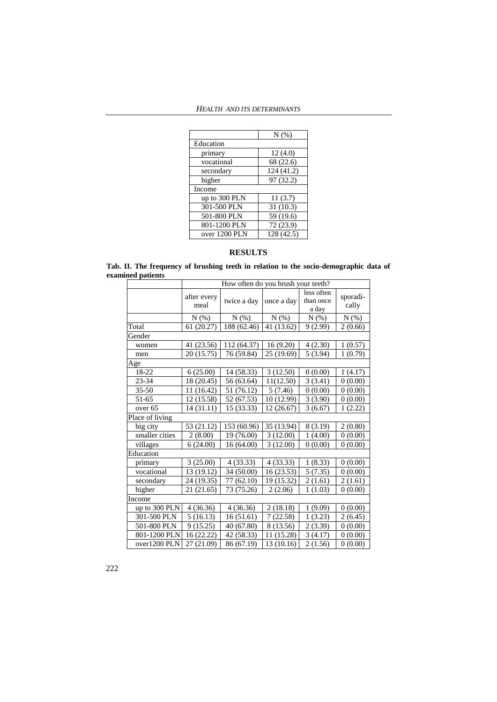| $N(\%)$    |
|------------|
|            |
| 12(4.0)    |
| 68 (22.6)  |
| 124 (41.2) |
| 97 (32.2)  |
|            |
| 11(3.7)    |
| 31(10.3)   |
| 59 (19.6)  |
| 72 (23.9)  |
| 128 (42.5) |
|            |

# **RESULTS**

**Tab. II. The frequency of brushing teeth in relation to the socio-demographic data of examined patients**

|                    | How often do you brush your teeth? |             |            |                                  |                   |  |  |  |  |
|--------------------|------------------------------------|-------------|------------|----------------------------------|-------------------|--|--|--|--|
|                    | after every<br>meal                | twice a day | once a day | less often<br>than once<br>a day | sporadi-<br>cally |  |  |  |  |
|                    | N(% )                              | $N(\%)$     | N(% )      | $N(\%)$                          | $N(\%)$           |  |  |  |  |
| Total              | 61 (20.27)                         | 188 (62.46) | 41 (13.62) | 9(2.99)                          | 2(0.66)           |  |  |  |  |
| Gender             |                                    |             |            |                                  |                   |  |  |  |  |
| women              | 41 (23.56)                         | 112 (64.37) | 16(9.20)   | 4(2.30)                          | 1(0.57)           |  |  |  |  |
| men                | 20 (15.75)                         | 76 (59.84)  | 25 (19.69) | 5(3.94)                          | 1(0.79)           |  |  |  |  |
| Age                |                                    |             |            |                                  |                   |  |  |  |  |
| 18-22              | 6(25.00)                           | 14 (58.33)  | 3(12.50)   | 0(0.00)                          | 1(4.17)           |  |  |  |  |
| 23-34              | 18 (20.45)                         | 56 (63.64)  | 11(12.50)  | 3(3.41)                          | 0(0.00)           |  |  |  |  |
| $35 - 50$          | 11 (16.42)                         | 51 (76.12)  | 5(7.46)    | 0(0.00)                          | 0(0.00)           |  |  |  |  |
| 51-65              | 12 (15.58)                         | 52 (67.53)  | 10 (12.99) | 3(3.90)                          | 0(0.00)           |  |  |  |  |
| over <sub>65</sub> | 14(31.11)                          | 15 (33.33)  | 12(26.67)  | 3(6.67)                          | 1(2.22)           |  |  |  |  |
| Place of living    |                                    |             |            |                                  |                   |  |  |  |  |
| big city           | 53 (21.12)                         | 153 (60.96) | 35 (13.94) | 8(3.19)                          | 2(0.80)           |  |  |  |  |
| smaller cities     | 2(8.00)                            | 19 (76.00)  | 3(12.00)   | 1(4.00)                          | 0(0.00)           |  |  |  |  |
| villages           | 6(24.00)                           | 16 (64.00)  | 3(12.00)   | 0(0.00)                          | 0(0.00)           |  |  |  |  |
| Education          |                                    |             |            |                                  |                   |  |  |  |  |
| primary            | 3(25.00)                           | 4(33.33)    | 4(33.33)   | 1(8.33)                          | 0(0.00)           |  |  |  |  |
| vocational         | 13 (19.12)                         | 34 (50.00)  | 16(23.53)  | 5(7.35)                          | 0(0.00)           |  |  |  |  |
| secondary          | 24 (19.35)                         | 77 (62.10)  | 19 (15.32) | 2(1.61)                          | 2(1.61)           |  |  |  |  |
| higher             | 21 (21.65)                         | 73 (75.26)  | 2(2.06)    | 1(1.03)                          | 0(0.00)           |  |  |  |  |
| Income             |                                    |             |            |                                  |                   |  |  |  |  |
| up to 300 PLN      | 4 (36.36)                          | 4(36.36)    | 2(18.18)   | 1(9.09)                          | 0(0.00)           |  |  |  |  |
| 301-500 PLN        | 5(16.13)                           | 16(51.61)   | 7(22.58)   | 1(3.23)                          | 2(6.45)           |  |  |  |  |
| 501-800 PLN        | 9(15.25)                           | 40 (67.80)  | 8 (13.56)  | 2(3.39)                          | 0(0.00)           |  |  |  |  |
| 801-1200 PLN       | 16 (22.22)                         | 42 (58.33)  | 11 (15.28) | 3(4.17)                          | 0(0.00)           |  |  |  |  |
| over1200 PLN       | 27 (21.09)                         | 86 (67.19)  | 13 (10.16) | 2(1.56)                          | 0(0.00)           |  |  |  |  |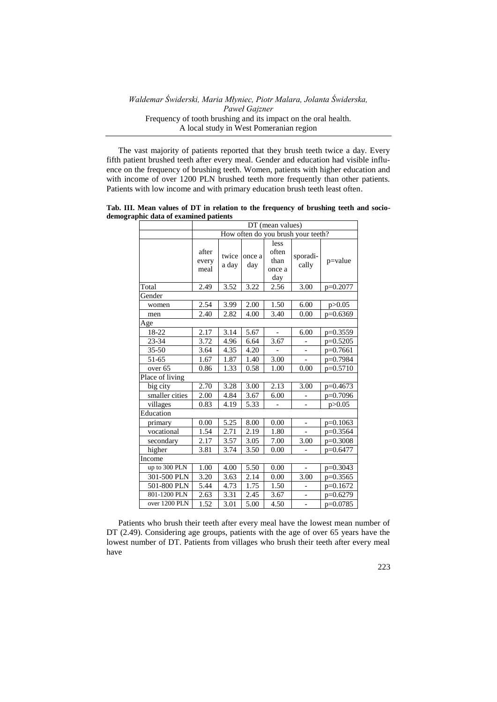The vast majority of patients reported that they brush teeth twice a day. Every fifth patient brushed teeth after every meal. Gender and education had visible influence on the frequency of brushing teeth. Women, patients with higher education and with income of over 1200 PLN brushed teeth more frequently than other patients. Patients with low income and with primary education brush teeth least often.

**Tab. III. Mean values of DT in relation to the frequency of brushing teeth and sociodemographic data of examined patients**

|                    | DT (mean values)                   |                   |                   |                                |                          |             |  |  |  |
|--------------------|------------------------------------|-------------------|-------------------|--------------------------------|--------------------------|-------------|--|--|--|
|                    | How often do you brush your teeth? |                   |                   |                                |                          |             |  |  |  |
|                    |                                    |                   |                   | less                           |                          |             |  |  |  |
|                    | after<br>every<br>meal             | twice<br>a day    | once a<br>day     | often<br>than<br>once a<br>day | sporadi-<br>cally        | $p =$ value |  |  |  |
| Total              | 2.49                               | 3.52              | 3.22              | 2.56                           | 3.00                     | p=0.2077    |  |  |  |
| Gender             |                                    |                   |                   |                                |                          |             |  |  |  |
| women              | 2.54                               | 3.99              | 2.00              | 1.50                           | 6.00                     | p > 0.05    |  |  |  |
| men                | 2.40                               | 2.82              | 4.00              | 3.40                           | 0.00                     | $p=0.6369$  |  |  |  |
| Age                |                                    |                   |                   |                                |                          |             |  |  |  |
| $18 - 22$          | 2.17                               | 3.14              | 5.67              |                                | 6.00                     | $p=0.3559$  |  |  |  |
| 23-34              | 3.72                               | 4.96              | 6.64              | 3.67                           |                          | $p=0.5205$  |  |  |  |
| $35 - 50$          | 3.64                               | 4.35              | 4.20              |                                |                          | $p=0.7661$  |  |  |  |
| $51 - 65$          | 1.67                               | 1.87              | 1.40              | 3.00                           |                          | p=0.7984    |  |  |  |
| over <sub>65</sub> | 0.86                               | 1.33              | 0.58              | 1.00                           | 0.00                     | $p=0.5710$  |  |  |  |
| Place of living    |                                    |                   |                   |                                |                          |             |  |  |  |
| big city           | 2.70                               | 3.28              | 3.00              | 2.13                           | 3.00                     | p=0.4673    |  |  |  |
| smaller cities     | 2.00                               | 4.84              | 3.67              | 6.00                           |                          | p=0.7096    |  |  |  |
| villages           | 0.83                               | 4.19              | $\overline{5.33}$ |                                |                          | p > 0.05    |  |  |  |
| Education          |                                    |                   |                   |                                |                          |             |  |  |  |
| primary            | 0.00                               | 5.25              | 8.00              | 0.00                           | $\overline{\phantom{0}}$ | $p=0.1063$  |  |  |  |
| vocational         | 1.54                               | 2.71              | 2.19              | 1.80                           |                          | p=0.3564    |  |  |  |
| secondary          | 2.17                               | 3.57              | 3.05              | 7.00                           | 3.00                     | $p=0.3008$  |  |  |  |
| higher             | 3.81                               | 3.74              | 3.50              | 0.00                           |                          | p=0.6477    |  |  |  |
| Income             |                                    |                   |                   |                                |                          |             |  |  |  |
| up to 300 PLN      | 1.00                               | 4.00              | 5.50              | 0.00                           | $\equiv$                 | $p=0.3043$  |  |  |  |
| 301-500 PLN        | 3.20                               | 3.63              | 2.14              | 0.00                           | 3.00                     | p=0.3565    |  |  |  |
| 501-800 PLN        | 5.44                               | 4.73              | 1.75              | 1.50                           | $\overline{\phantom{0}}$ | p=0.1672    |  |  |  |
| 801-1200 PLN       | 2.63                               | 3.31              | 2.45              | 3.67                           |                          | p=0.6279    |  |  |  |
| over 1200 PLN      | 1.52                               | $\overline{3.01}$ | $\overline{5.00}$ | 4.50                           | $\overline{a}$           | p=0.0785    |  |  |  |

Patients who brush their teeth after every meal have the lowest mean number of DT (2.49). Considering age groups, patients with the age of over 65 years have the lowest number of DT. Patients from villages who brush their teeth after every meal have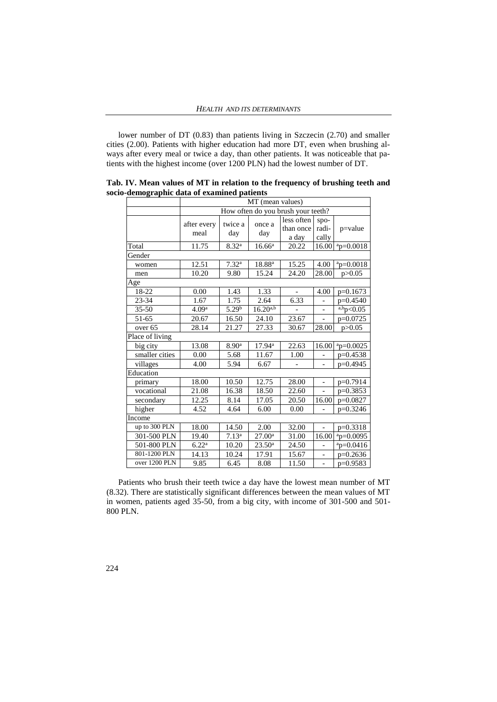lower number of DT (0.83) than patients living in Szczecin (2.70) and smaller cities (2.00). Patients with higher education had more DT, even when brushing always after every meal or twice a day, than other patients. It was noticeable that patients with the highest income (over 1200 PLN) had the lowest number of DT.

|                    | MT (mean values)    |                                    |                    |                                  |                          |              |  |  |  |  |
|--------------------|---------------------|------------------------------------|--------------------|----------------------------------|--------------------------|--------------|--|--|--|--|
|                    |                     | How often do you brush your teeth? |                    |                                  |                          |              |  |  |  |  |
|                    | after every<br>meal | twice a<br>day                     | once a<br>day      | less often<br>than once<br>a day | spo-<br>radi-<br>cally   | p=value      |  |  |  |  |
| Total              | 11.75               | $8.32^{a}$                         | 16.66 <sup>a</sup> | 20.22                            | 16.00                    | $ap=0.0018$  |  |  |  |  |
| Gender             |                     |                                    |                    |                                  |                          |              |  |  |  |  |
| women              | 12.51               | 7.32 <sup>a</sup>                  | 18.88 <sup>a</sup> | 15.25                            | 4.00                     | $ap=0.0018$  |  |  |  |  |
| men                | 10.20               | 9.80                               | 15.24              | 24.20                            | 28.00                    | p > 0.05     |  |  |  |  |
| Age                |                     |                                    |                    |                                  |                          |              |  |  |  |  |
| 18-22              | 0.00                | 1.43                               | 1.33               |                                  | 4.00                     | $p=0.1673$   |  |  |  |  |
| 23-34              | 1.67                | 1.75                               | 2.64               | 6.33                             |                          | p=0.4540     |  |  |  |  |
| $35 - 50$          | 4.09 <sup>a</sup>   | $5.29^{b}$                         | $16.20^{a,b}$      |                                  |                          | a, bp<0.05   |  |  |  |  |
| 51-65              | 20.67               | 16.50                              | 24.10              | 23.67                            |                          | p=0.0725     |  |  |  |  |
| over <sub>65</sub> | 28.14               | 21.27                              | 27.33              | 30.67                            | 28.00                    | p > 0.05     |  |  |  |  |
| Place of living    |                     |                                    |                    |                                  |                          |              |  |  |  |  |
| big city           | 13.08               | 8.90 <sup>a</sup>                  | $17.94^{\rm a}$    | 22.63                            | 16.00                    | $ap=0.0025$  |  |  |  |  |
| smaller cities     | 0.00                | 5.68                               | 11.67              | 1.00                             |                          | $p=0.4538$   |  |  |  |  |
| villages           | 4.00                | 5.94                               | 6.67               |                                  |                          | p=0.4945     |  |  |  |  |
| Education          |                     |                                    |                    |                                  |                          |              |  |  |  |  |
| primary            | 18.00               | 10.50                              | 12.75              | 28.00                            |                          | p=0.7914     |  |  |  |  |
| vocational         | 21.08               | 16.38                              | 18.50              | 22.60                            |                          | p=0.3853     |  |  |  |  |
| secondary          | 12.25               | 8.14                               | 17.05              | 20.50                            | $\overline{16.00}$       | p=0.0827     |  |  |  |  |
| higher             | 4.52                | 4.64                               | 6.00               | 0.00                             |                          | p=0.3246     |  |  |  |  |
| Income             |                     |                                    |                    |                                  |                          |              |  |  |  |  |
| up to 300 PLN      | 18.00               | 14.50                              | 2.00               | 32.00                            | $\overline{\phantom{0}}$ | p=0.3318     |  |  |  |  |
| 301-500 PLN        | 19.40               | 7.13 <sup>a</sup>                  | 27.00 <sup>a</sup> | 31.00                            | 16.00                    | $ap=0.0095$  |  |  |  |  |
| 501-800 PLN        | 6.22 <sup>a</sup>   | 10.20                              | $23.50^a$          | 24.50                            |                          | $a$ p=0.0416 |  |  |  |  |
| 801-1200 PLN       | 14.13               | 10.24                              | 17.91              | 15.67                            | -                        | $p=0.2636$   |  |  |  |  |
| over 1200 PLN      | 9.85                | 6.45                               | 8.08               | 11.50                            | $\overline{\phantom{0}}$ | p=0.9583     |  |  |  |  |

**Tab. IV. Mean values of MT in relation to the frequency of brushing teeth and socio-demographic data of examined patients**

Patients who brush their teeth twice a day have the lowest mean number of MT (8.32). There are statistically significant differences between the mean values of MT in women, patients aged 35-50, from a big city, with income of 301-500 and 501- 800 PLN.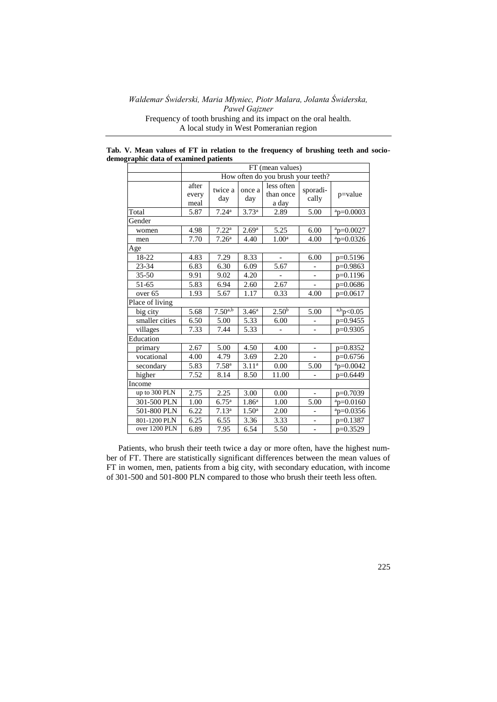**Tab. V. Mean values of FT in relation to the frequency of brushing teeth and sociodemographic data of examined patients**

|                    | FT (mean values)       |                                    |                   |                                  |                          |                 |  |  |  |  |
|--------------------|------------------------|------------------------------------|-------------------|----------------------------------|--------------------------|-----------------|--|--|--|--|
|                    |                        | How often do you brush your teeth? |                   |                                  |                          |                 |  |  |  |  |
|                    | after<br>every<br>meal | twice a<br>day                     | once a<br>day     | less often<br>than once<br>a day | sporadi-<br>cally        | $p = value$     |  |  |  |  |
| Total              | 5.87                   | 7.24 <sup>a</sup>                  | 3.73 <sup>a</sup> | 2.89                             | 5.00                     | $a_{p=0.0003}$  |  |  |  |  |
| Gender             |                        |                                    |                   |                                  |                          |                 |  |  |  |  |
| women              | 4.98                   | 7.22 <sup>a</sup>                  | 2.69 <sup>a</sup> | 5.25                             | 6.00                     | $a_{p=0.0027}$  |  |  |  |  |
| men                | 7.70                   | 7.26 <sup>a</sup>                  | 4.40              | 1.00 <sup>a</sup>                | 4.00                     | $a_{D=0.0326}$  |  |  |  |  |
| Age                |                        |                                    |                   |                                  |                          |                 |  |  |  |  |
| $18 - 22$          | 4.83                   | 7.29                               | 8.33              |                                  | 6.00                     | p=0.5196        |  |  |  |  |
| 23-34              | 6.83                   | 6.30                               | 6.09              | 5.67                             |                          | p=0.9863        |  |  |  |  |
| $35 - 50$          | 9.91                   | 9.02                               | 4.20              |                                  |                          | p=0.1196        |  |  |  |  |
| 51-65              | 5.83                   | 6.94                               | 2.60              | 2.67                             | $\overline{\phantom{0}}$ | $p=0.0686$      |  |  |  |  |
| over <sub>65</sub> | 1.93                   | 5.67                               | 1.17              | 0.33                             | 4.00                     | $p=0.0617$      |  |  |  |  |
| Place of living    |                        |                                    |                   |                                  |                          |                 |  |  |  |  |
| big city           | 5.68                   | $7.50^{a,b}$                       | 3.46 <sup>a</sup> | 2.50 <sup>b</sup>                | 5.00                     | $a, b$ p < 0.05 |  |  |  |  |
| smaller cities     | 6.50                   | 5.00                               | 5.33              | 6.00                             |                          | p=0.9455        |  |  |  |  |
| villages           | 7.33                   | 7.44                               | 5.33              |                                  |                          | $p=0.9305$      |  |  |  |  |
| Education          |                        |                                    |                   |                                  |                          |                 |  |  |  |  |
| primary            | 2.67                   | 5.00                               | 4.50              | 4.00                             |                          | $p=0.8352$      |  |  |  |  |
| vocational         | 4.00                   | 4.79                               | 3.69              | 2.20                             |                          | p=0.6756        |  |  |  |  |
| secondary          | 5.83                   | 7.58 <sup>a</sup>                  | 3.11 <sup>a</sup> | 0.00                             | 5.00                     | $a$ p=0.0042    |  |  |  |  |
| higher             | 7.52                   | 8.14                               | 8.50              | 11.00                            |                          | p=0.6449        |  |  |  |  |
| Income             |                        |                                    |                   |                                  |                          |                 |  |  |  |  |
| up to 300 PLN      | 2.75                   | 2.25                               | 3.00              | 0.00                             |                          | p=0.7039        |  |  |  |  |
| 301-500 PLN        | 1.00                   | 6.75 <sup>a</sup>                  | 1.86 <sup>a</sup> | 1.00                             | 5.00                     | $a$ p=0.0160    |  |  |  |  |
| 501-800 PLN        | 6.22                   | 7.13 <sup>a</sup>                  | 1.50 <sup>a</sup> | 2.00                             |                          | $ap=0.0356$     |  |  |  |  |
| 801-1200 PLN       | 6.25                   | 6.55                               | 3.36              | 3.33                             | -                        | $p=0.1387$      |  |  |  |  |
| over 1200 PLN      | 6.89                   | 7.95                               | 6.54              | $\overline{5.50}$                |                          | $p=0.3529$      |  |  |  |  |

Patients, who brush their teeth twice a day or more often, have the highest number of FT. There are statistically significant differences between the mean values of FT in women, men, patients from a big city, with secondary education, with income of 301-500 and 501-800 PLN compared to those who brush their teeth less often.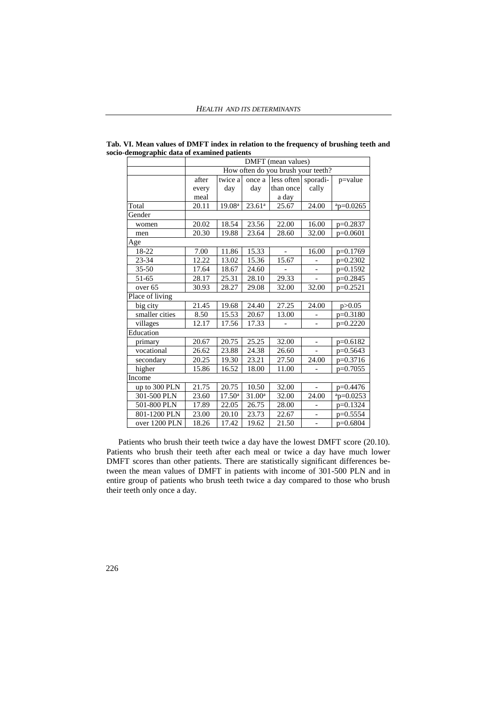|                 | DMFT (mean values)                 |                    |                    |                     |                      |                |  |  |  |
|-----------------|------------------------------------|--------------------|--------------------|---------------------|----------------------|----------------|--|--|--|
|                 | How often do you brush your teeth? |                    |                    |                     |                      |                |  |  |  |
|                 | after                              | twice a            | once a             | less often sporadi- |                      | p=value        |  |  |  |
|                 | every                              | day                | day                | than once           | cally                |                |  |  |  |
|                 | meal                               |                    |                    | a day               |                      |                |  |  |  |
| Total           | 20.11                              | 19.08 <sup>a</sup> | 23.61 <sup>a</sup> | 25.67               | 24.00                | $a$ p=0.0265   |  |  |  |
| Gender          |                                    |                    |                    |                     |                      |                |  |  |  |
| women           | 20.02                              | 18.54              | 23.56              | 22.00               | 16.00                | $p=0.2837$     |  |  |  |
| men             | 20.30                              | 19.88              | 23.64              | 28.60               | 32.00                | $p=0.0601$     |  |  |  |
| Age             |                                    |                    |                    |                     |                      |                |  |  |  |
| $18 - 22$       | 7.00                               | 11.86              | 15.33              |                     | 16.00                | p=0.1769       |  |  |  |
| $23 - 34$       | 12.22                              | 13.02              | 15.36              | 15.67               |                      | $p=0.2302$     |  |  |  |
| $35 - 50$       | 17.64                              | 18.67              | 24.60              |                     |                      | p=0.1592       |  |  |  |
| 51-65           | 28.17                              | 25.31              | 28.10              | 29.33               |                      | $p=0.2845$     |  |  |  |
| over 65         | 30.93                              | 28.27              | 29.08              | 32.00               | 32.00                | p=0.2521       |  |  |  |
| Place of living |                                    |                    |                    |                     |                      |                |  |  |  |
| big city        | 21.45                              | 19.68              | 24.40              | 27.25               | 24.00                | p > 0.05       |  |  |  |
| smaller cities  | 8.50                               | 15.53              | 20.67              | 13.00               |                      | $p=0.3180$     |  |  |  |
| villages        | 12.17                              | 17.56              | 17.33              |                     |                      | $p=0.2220$     |  |  |  |
| Education       |                                    |                    |                    |                     |                      |                |  |  |  |
| primary         | 20.67                              | 20.75              | 25.25              | 32.00               | $\qquad \qquad \Box$ | $p=0.6182$     |  |  |  |
| vocational      | 26.62                              | 23.88              | 24.38              | 26.60               |                      | $p=0.5643$     |  |  |  |
| secondary       | 20.25                              | 19.30              | 23.21              | 27.50               | 24.00                | p=0.3716       |  |  |  |
| higher          | 15.86                              | 16.52              | 18.00              | 11.00               |                      | $p=0.7055$     |  |  |  |
| Income          |                                    |                    |                    |                     |                      |                |  |  |  |
| up to 300 PLN   | 21.75                              | 20.75              | 10.50              | 32.00               |                      | $p=0.4476$     |  |  |  |
| 301-500 PLN     | 23.60                              | $17.50^{\rm a}$    | 31.00 <sup>a</sup> | 32.00               | 24.00                | $a_{p=0.0253}$ |  |  |  |
| 501-800 PLN     | 17.89                              | 22.05              | 26.75              | 28.00               |                      | p=0.1324       |  |  |  |
| 801-1200 PLN    | 23.00                              | 20.10              | 23.73              | 22.67               | -                    | $p=0.5554$     |  |  |  |
| over 1200 PLN   | 18.26                              | 17.42              | 19.62              | 21.50               | $\qquad \qquad -$    | $p=0.6804$     |  |  |  |

**Tab. VI. Mean values of DMFT index in relation to the frequency of brushing teeth and**  socio-demographic data of examined patients

Patients who brush their teeth twice a day have the lowest DMFT score (20.10). Patients who brush their teeth after each meal or twice a day have much lower DMFT scores than other patients. There are statistically significant differences between the mean values of DMFT in patients with income of 301-500 PLN and in entire group of patients who brush teeth twice a day compared to those who brush their teeth only once a day.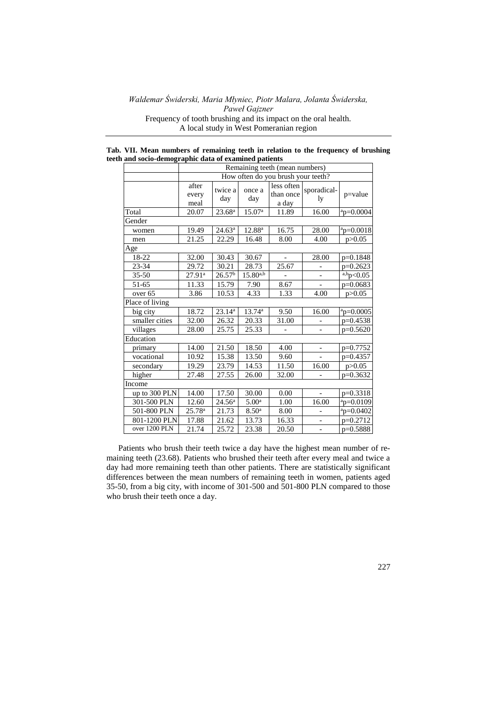|                                                       |  |  |  | Tab. VII. Mean numbers of remaining teeth in relation to the frequency of brushing |  |
|-------------------------------------------------------|--|--|--|------------------------------------------------------------------------------------|--|
| teeth and socio-demographic data of examined patients |  |  |  |                                                                                    |  |
|                                                       |  |  |  |                                                                                    |  |

|                    | Remaining teeth (mean numbers) |                                    |                    |                                  |                          |                |  |  |  |  |
|--------------------|--------------------------------|------------------------------------|--------------------|----------------------------------|--------------------------|----------------|--|--|--|--|
|                    |                                | How often do you brush your teeth? |                    |                                  |                          |                |  |  |  |  |
|                    | after<br>every<br>meal         | twice a<br>day                     | once a<br>day      | less often<br>than once<br>a day | sporadical-<br>ly        | $p =$ value    |  |  |  |  |
| Total              | 20.07                          | 23.68 <sup>a</sup>                 | 15.07 <sup>a</sup> | 11.89                            | 16.00                    | $a$ p=0.0004   |  |  |  |  |
| Gender             |                                |                                    |                    |                                  |                          |                |  |  |  |  |
| women              | 19.49                          | $24.63^{\rm a}$                    | $12.88^{a}$        | 16.75                            | 28.00                    | $a_{p=0.0018}$ |  |  |  |  |
| men                | 21.25                          | 22.29                              | 16.48              | 8.00                             | 4.00                     | p > 0.05       |  |  |  |  |
| Age                |                                |                                    |                    |                                  |                          |                |  |  |  |  |
| $18 - 22$          | 32.00                          | 30.43                              | 30.67              |                                  | 28.00                    | $p=0.1848$     |  |  |  |  |
| 23-34              | 29.72                          | 30.21                              | 28.73              | 25.67                            |                          | $p=0.2623$     |  |  |  |  |
| $35 - 50$          | $27.91^{a}$                    | 26.57 <sup>b</sup>                 | $15.80^{a,b}$      |                                  |                          | a,bp<0.05      |  |  |  |  |
| 51-65              | 11.33                          | 15.79                              | 7.90               | 8.67                             | $\overline{a}$           | $p=0.0683$     |  |  |  |  |
| over <sub>65</sub> | 3.86                           | 10.53                              | 4.33               | 1.33                             | 4.00                     | p > 0.05       |  |  |  |  |
| Place of living    |                                |                                    |                    |                                  |                          |                |  |  |  |  |
| big city           | 18.72                          | $23.14^{a}$                        | $13.74^{\circ}$    | 9.50                             | 16.00                    | $ap=0.0005$    |  |  |  |  |
| smaller cities     | 32.00                          | 26.32                              | 20.33              | 31.00                            |                          | p=0.4538       |  |  |  |  |
| villages           | 28.00                          | 25.75                              | 25.33              |                                  | $\overline{\phantom{0}}$ | $p=0.5620$     |  |  |  |  |
| Education          |                                |                                    |                    |                                  |                          |                |  |  |  |  |
| primary            | 14.00                          | 21.50                              | 18.50              | 4.00                             | $\qquad \qquad -$        | $p=0.7752$     |  |  |  |  |
| vocational         | 10.92                          | 15.38                              | 13.50              | 9.60                             |                          | $p=0.4357$     |  |  |  |  |
| secondary          | 19.29                          | 23.79                              | 14.53              | 11.50                            | 16.00                    | p > 0.05       |  |  |  |  |
| higher             | 27.48                          | 27.55                              | 26.00              | 32.00                            |                          | p=0.3632       |  |  |  |  |
| Income             |                                |                                    |                    |                                  |                          |                |  |  |  |  |
| up to 300 PLN      | 14.00                          | 17.50                              | 30.00              | 0.00                             |                          | p=0.3318       |  |  |  |  |
| 301-500 PLN        | 12.60                          | 24.56 <sup>a</sup>                 | 5.00 <sup>a</sup>  | 1.00                             | 16.00                    | $a_p=0.0109$   |  |  |  |  |
| 501-800 PLN        | $25.78^{a}$                    | 21.73                              | 8.50 <sup>a</sup>  | 8.00                             |                          | $ap=0.0402$    |  |  |  |  |
| 801-1200 PLN       | 17.88                          | 21.62                              | 13.73              | 16.33                            | $\qquad \qquad -$        | $p=0.2712$     |  |  |  |  |
| over 1200 PLN      | 21.74                          | 25.72                              | 23.38              | 20.50                            |                          | $p=0.5888$     |  |  |  |  |

Patients who brush their teeth twice a day have the highest mean number of remaining teeth (23.68). Patients who brushed their teeth after every meal and twice a day had more remaining teeth than other patients. There are statistically significant differences between the mean numbers of remaining teeth in women, patients aged 35-50, from a big city, with income of 301-500 and 501-800 PLN compared to those who brush their teeth once a day.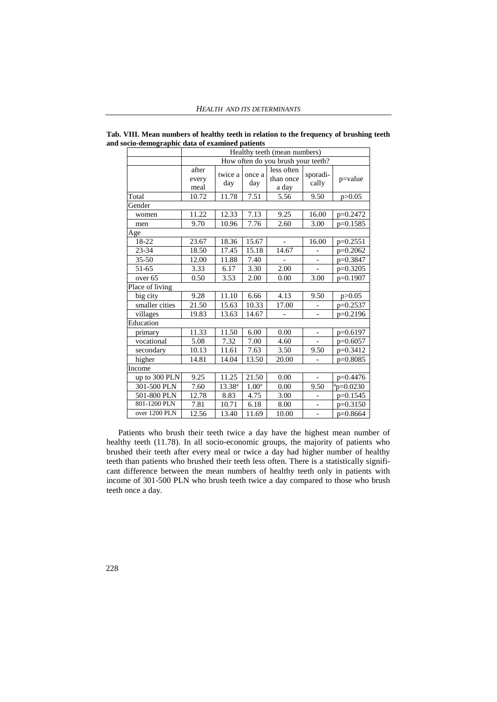|                    | Healthy teeth (mean numbers) |                                    |                   |                                  |                              |              |  |  |  |
|--------------------|------------------------------|------------------------------------|-------------------|----------------------------------|------------------------------|--------------|--|--|--|
|                    |                              | How often do you brush your teeth? |                   |                                  |                              |              |  |  |  |
|                    | after<br>every<br>meal       | twice a<br>day                     | once a<br>day     | less often<br>than once<br>a day | sporadi-<br>cally            | $p = value$  |  |  |  |
| Total              | 10.72                        | 11.78                              | 7.51              | 5.56                             | 9.50                         | p > 0.05     |  |  |  |
| Gender             |                              |                                    |                   |                                  |                              |              |  |  |  |
| women              | 11.22                        | 12.33                              | 7.13              | 9.25                             | 16.00                        | $p=0.2472$   |  |  |  |
| men                | 9.70                         | 10.96                              | 7.76              | 2.60                             | 3.00                         | $p=0.1585$   |  |  |  |
| Age                |                              |                                    |                   |                                  |                              |              |  |  |  |
| $18 - 22$          | 23.67                        | 18.36                              | 15.67             |                                  | 16.00                        | $p=0.2551$   |  |  |  |
| $23 - 34$          | 18.50                        | 17.45                              | 15.18             | 14.67                            |                              | $p=0.2062$   |  |  |  |
| $35 - 50$          | 12.00                        | 11.88                              | 7.40              |                                  | $\overline{\phantom{0}}$     | p=0.3847     |  |  |  |
| 51-65              | 3.33                         | 6.17                               | 3.30              | 2.00                             |                              | $p=0.3205$   |  |  |  |
| over <sub>65</sub> | 0.50                         | 3.53                               | 2.00              | 0.00                             | 3.00                         | $p=0.1907$   |  |  |  |
| Place of living    |                              |                                    |                   |                                  |                              |              |  |  |  |
| big city           | 9.28                         | 11.10                              | 6.66              | 4.13                             | 9.50                         | p > 0.05     |  |  |  |
| smaller cities     | 21.50                        | 15.63                              | 10.33             | 17.00                            |                              | $p=0.2537$   |  |  |  |
| villages           | 19.83                        | 13.63                              | 14.67             |                                  | $\overline{\phantom{0}}$     | $p=0.2196$   |  |  |  |
| Education          |                              |                                    |                   |                                  |                              |              |  |  |  |
| primary            | 11.33                        | 11.50                              | 6.00              | 0.00                             | $\qquad \qquad \blacksquare$ | $p=0.6197$   |  |  |  |
| vocational         | 5.08                         | 7.32                               | 7.00              | 4.60                             |                              | $p=0.6057$   |  |  |  |
| secondary          | 10.13                        | 11.61                              | 7.63              | 3.50                             | 9.50                         | p=0.3412     |  |  |  |
| higher             | 14.81                        | 14.04                              | 13.50             | 20.00                            |                              | $p=0.8085$   |  |  |  |
| Income             |                              |                                    |                   |                                  |                              |              |  |  |  |
| up to 300 PLN      | 9.25                         | 11.25                              | 21.50             | 0.00                             | $\blacksquare$               | p=0.4476     |  |  |  |
| 301-500 PLN        | 7.60                         | $13.38^{a}$                        | 1.00 <sup>a</sup> | 0.00                             | 9.50                         | $a$ p=0.0230 |  |  |  |
| 501-800 PLN        | 12.78                        | 8.83                               | 4.75              | 3.00                             |                              | $p=0.1545$   |  |  |  |
| 801-1200 PLN       | 7.81                         | 10.71                              | 6.18              | 8.00                             | -                            | $p=0.3150$   |  |  |  |
| over 1200 PLN      | 12.56                        | 13.40                              | 11.69             | 10.00                            | $\overline{a}$               | $p=0.8664$   |  |  |  |

**Tab. VIII. Mean numbers of healthy teeth in relation to the frequency of brushing teeth and socio-demographic data of examined patients**

Patients who brush their teeth twice a day have the highest mean number of healthy teeth (11.78). In all socio-economic groups, the majority of patients who brushed their teeth after every meal or twice a day had higher number of healthy teeth than patients who brushed their teeth less often. There is a statistically significant difference between the mean numbers of healthy teeth only in patients with income of 301-500 PLN who brush teeth twice a day compared to those who brush teeth once a day.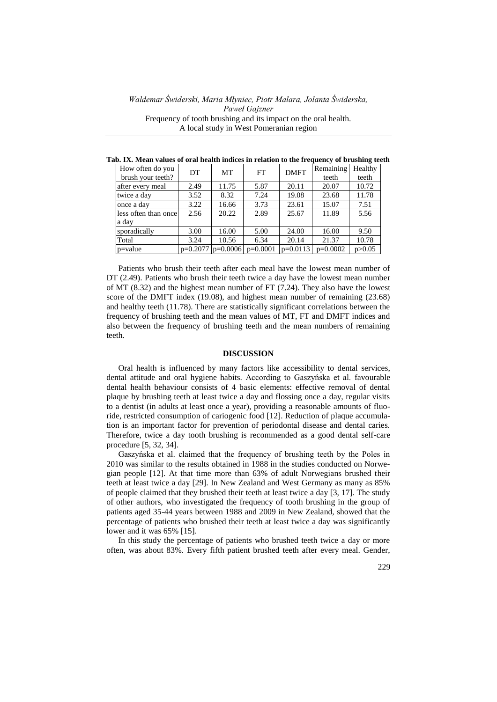| How often do you     | DT                    | <b>MT</b> | FT         | <b>DMFT</b> | Remaining  | Healthy  |
|----------------------|-----------------------|-----------|------------|-------------|------------|----------|
| brush your teeth?    |                       |           |            |             | teeth      | teeth    |
| after every meal     | 2.49                  | 11.75     | 5.87       | 20.11       | 20.07      | 10.72    |
| twice a day          | 3.52                  | 8.32      | 7.24       | 19.08       | 23.68      | 11.78    |
| once a day           | 3.22                  | 16.66     | 3.73       | 23.61       | 15.07      | 7.51     |
| less often than once | 2.56                  | 20.22     | 2.89       | 25.67       | 11.89      | 5.56     |
| a day                |                       |           |            |             |            |          |
| sporadically         | 3.00                  | 16.00     | 5.00       | 24.00       | 16.00      | 9.50     |
| Total                | 3.24                  | 10.56     | 6.34       | 20.14       | 21.37      | 10.78    |
| $p = value$          | $p=0.2077$ $p=0.0006$ |           | $p=0.0001$ | $p=0.0113$  | $p=0.0002$ | p > 0.05 |

**Tab. IX. Mean values of oral health indices in relation to the frequency of brushing teeth**

Patients who brush their teeth after each meal have the lowest mean number of DT (2.49). Patients who brush their teeth twice a day have the lowest mean number of MT (8.32) and the highest mean number of FT (7.24). They also have the lowest score of the DMFT index (19.08), and highest mean number of remaining (23.68) and healthy teeth (11.78). There are statistically significant correlations between the frequency of brushing teeth and the mean values of MT, FT and DMFT indices and also between the frequency of brushing teeth and the mean numbers of remaining teeth.

#### **DISCUSSION**

Oral health is influenced by many factors like accessibility to dental services, dental attitude and oral hygiene habits. According to Gaszyńska et al. favourable dental health behaviour consists of 4 basic elements: effective removal of dental plaque by brushing teeth at least twice a day and flossing once a day, regular visits to a dentist (in adults at least once a year), providing a reasonable amounts of fluoride, restricted consumption of cariogenic food [12]. Reduction of plaque accumulation is an important factor for prevention of periodontal disease and dental caries. Therefore, twice a day tooth brushing is recommended as a good dental self-care procedure [5, 32, 34].

Gaszyńska et al. claimed that the frequency of brushing teeth by the Poles in 2010 was similar to the results obtained in 1988 in the studies conducted on Norwegian people [12]. At that time more than 63% of adult Norwegians brushed their teeth at least twice a day [29]. In New Zealand and West Germany as many as 85% of people claimed that they brushed their teeth at least twice a day [3, 17]. The study of other authors, who investigated the frequency of tooth brushing in the group of patients aged 35-44 years between 1988 and 2009 in New Zealand, showed that the percentage of patients who brushed their teeth at least twice a day was significantly lower and it was 65% [15].

In this study the percentage of patients who brushed teeth twice a day or more often, was about 83%. Every fifth patient brushed teeth after every meal. Gender,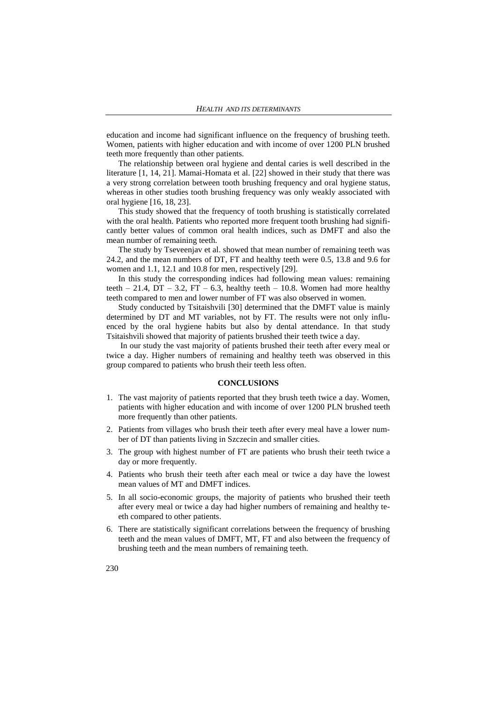education and income had significant influence on the frequency of brushing teeth. Women, patients with higher education and with income of over 1200 PLN brushed teeth more frequently than other patients.

The relationship between oral hygiene and dental caries is well described in the literature [1, 14, 21]. Mamai-Homata et al. [22] showed in their study that there was a very strong correlation between tooth brushing frequency and oral hygiene status, whereas in other studies tooth brushing frequency was only weakly associated with oral hygiene [16, 18, 23].

This study showed that the frequency of tooth brushing is statistically correlated with the oral health. Patients who reported more frequent tooth brushing had significantly better values of common oral health indices, such as DMFT and also the mean number of remaining teeth.

The study by Tseveenjav et al. showed that mean number of remaining teeth was 24.2, and the mean numbers of DT, FT and healthy teeth were 0.5, 13.8 and 9.6 for women and 1.1, 12.1 and 10.8 for men, respectively [29].

In this study the corresponding indices had following mean values: remaining teeth – 21.4, DT – 3.2, FT – 6.3, healthy teeth – 10.8. Women had more healthy teeth compared to men and lower number of FT was also observed in women.

Study conducted by Tsitaishvili [30] determined that the DMFT value is mainly determined by DT and MT variables, not by FT. The results were not only influenced by the oral hygiene habits but also by dental attendance. In that study Tsitaishvili showed that majority of patients brushed their teeth twice a day.

In our study the vast majority of patients brushed their teeth after every meal or twice a day. Higher numbers of remaining and healthy teeth was observed in this group compared to patients who brush their teeth less often.

#### **CONCLUSIONS**

- 1. The vast majority of patients reported that they brush teeth twice a day. Women, patients with higher education and with income of over 1200 PLN brushed teeth more frequently than other patients.
- 2. Patients from villages who brush their teeth after every meal have a lower number of DT than patients living in Szczecin and smaller cities.
- 3. The group with highest number of FT are patients who brush their teeth twice a day or more frequently.
- 4. Patients who brush their teeth after each meal or twice a day have the lowest mean values of MT and DMFT indices.
- 5. In all socio-economic groups, the majority of patients who brushed their teeth after every meal or twice a day had higher numbers of remaining and healthy teeth compared to other patients.
- 6. There are statistically significant correlations between the frequency of brushing teeth and the mean values of DMFT, MT, FT and also between the frequency of brushing teeth and the mean numbers of remaining teeth.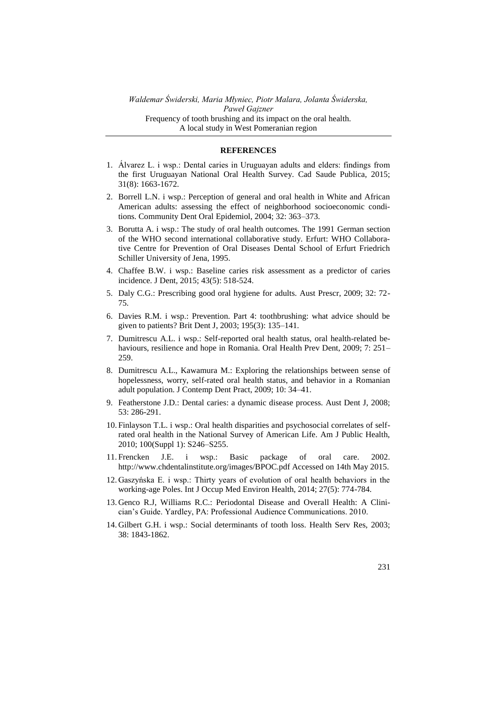#### **REFERENCES**

- 1. Álvarez L. i wsp.: Dental caries in Uruguayan adults and elders: findings from the first Uruguayan National Oral Health Survey. Cad Saude Publica, 2015; 31(8): 1663-1672.
- 2. Borrell L.N. i wsp.: Perception of general and oral health in White and African American adults: assessing the effect of neighborhood socioeconomic conditions. Community Dent Oral Epidemiol, 2004; 32: 363–373.
- 3. Borutta A. i wsp.: The study of oral health outcomes. The 1991 German section of the WHO second international collaborative study. Erfurt: WHO Collaborative Centre for Prevention of Oral Diseases Dental School of Erfurt Friedrich Schiller University of Jena, 1995.
- 4. Chaffee B.W. i wsp.: Baseline caries risk assessment as a predictor of caries incidence. J Dent, 2015; 43(5): 518-524.
- 5. Daly C.G.: Prescribing good oral hygiene for adults. Aust Prescr, 2009; 32: 72- 75.
- 6. Davies R.M. i wsp.: Prevention. Part 4: toothbrushing: what advice should be given to patients? Brit Dent J, 2003; 195(3): 135–141.
- 7. Dumitrescu A.L. i wsp.: Self-reported oral health status, oral health-related behaviours, resilience and hope in Romania. Oral Health Prev Dent, 2009; 7: 251– 259.
- 8. Dumitrescu A.L., Kawamura M.: Exploring the relationships between sense of hopelessness, worry, self-rated oral health status, and behavior in a Romanian adult population. J Contemp Dent Pract, 2009; 10: 34–41.
- 9. Featherstone J.D.: Dental caries: a dynamic disease process. Aust Dent J, 2008; 53: 286-291.
- 10. Finlayson T.L. i wsp.: Oral health disparities and psychosocial correlates of selfrated oral health in the National Survey of American Life. Am J Public Health, 2010; 100(Suppl 1): S246–S255.
- 11. Frencken J.E. i wsp.: Basic package of oral care. 2002. http://www.chdentalinstitute.org/images/BPOC.pdf Accessed on 14th May 2015.
- 12. Gaszyńska E. i wsp.: Thirty years of evolution of oral health behaviors in the working-age Poles. Int J Occup Med Environ Health, 2014; 27(5): 774-784.
- 13. Genco R.J, Williams R.C.: Periodontal Disease and Overall Health: A Clinician's Guide. Yardley, PA: Professional Audience Communications. 2010.
- 14. Gilbert G.H. i wsp.: Social determinants of tooth loss. Health Serv Res, 2003; 38: 1843-1862.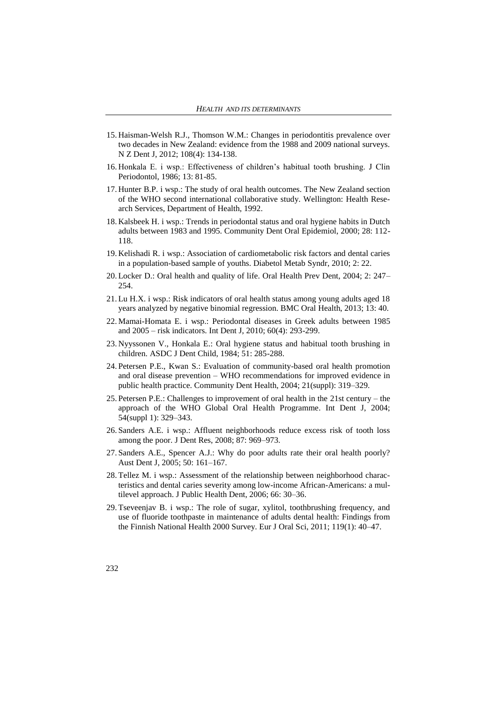- 15. Haisman-Welsh R.J., Thomson W.M.: Changes in periodontitis prevalence over two decades in New Zealand: evidence from the 1988 and 2009 national surveys. N Z Dent J, 2012; 108(4): 134-138.
- 16. Honkala E. i wsp.: Effectiveness of children's habitual tooth brushing. J Clin Periodontol, 1986; 13: 81-85.
- 17. Hunter B.P. i wsp.: The study of oral health outcomes. The New Zealand section of the WHO second international collaborative study. Wellington: Health Research Services, Department of Health, 1992.
- 18. Kalsbeek H. i wsp.: Trends in periodontal status and oral hygiene habits in Dutch adults between 1983 and 1995. Community Dent Oral Epidemiol, 2000; 28: 112- 118.
- 19. Kelishadi R. i wsp.: Association of cardiometabolic risk factors and dental caries in a population-based sample of youths. Diabetol Metab Syndr, 2010; 2: 22.
- 20. Locker D.: Oral health and quality of life. Oral Health Prev Dent, 2004; 2: 247– 254.
- 21. Lu H.X. i wsp.: Risk indicators of oral health status among young adults aged 18 years analyzed by negative binomial regression. BMC Oral Health, 2013; 13: 40.
- 22. Mamai-Homata E. i wsp.: Periodontal diseases in Greek adults between 1985 and 2005 – risk indicators. Int Dent J, 2010; 60(4): 293-299.
- 23. Nyyssonen V., Honkala E.: Oral hygiene status and habitual tooth brushing in children. ASDC J Dent Child, 1984; 51: 285-288.
- 24. Petersen P.E., Kwan S.: Evaluation of community-based oral health promotion and oral disease prevention – WHO recommendations for improved evidence in public health practice. Community Dent Health, 2004; 21(suppl): 319–329.
- 25. Petersen P.E.: Challenges to improvement of oral health in the 21st century the approach of the WHO Global Oral Health Programme. Int Dent J, 2004; 54(suppl 1): 329–343.
- 26. Sanders A.E. i wsp.: Affluent neighborhoods reduce excess risk of tooth loss among the poor. J Dent Res, 2008; 87: 969–973.
- 27. Sanders A.E., Spencer A.J.: Why do poor adults rate their oral health poorly? Aust Dent J, 2005; 50: 161–167.
- 28. Tellez M. i wsp.: Assessment of the relationship between neighborhood characteristics and dental caries severity among low-income African-Americans: a multilevel approach. J Public Health Dent, 2006; 66: 30–36.
- 29. Tseveenjav B. i wsp.: The role of sugar, xylitol, toothbrushing frequency, and use of fluoride toothpaste in maintenance of adults dental health: Findings from the Finnish National Health 2000 Survey. Eur J Oral Sci, 2011; 119(1): 40–47.